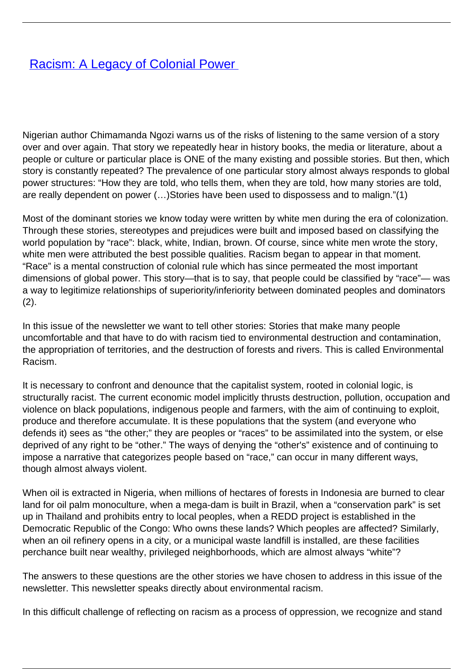## **[Racism: A Legacy of Colonial Power](/bulletin-articles/racism-a-legacy-of-colonial-power)**

Nigerian author Chimamanda Ngozi warns us of the risks of listening to the same version of a story over and over again. That story we repeatedly hear in history books, the media or literature, about a people or culture or particular place is ONE of the many existing and possible stories. But then, which story is constantly repeated? The prevalence of one particular story almost always responds to global power structures: "How they are told, who tells them, when they are told, how many stories are told, are really dependent on power (…)Stories have been used to dispossess and to malign."(1)

Most of the dominant stories we know today were written by white men during the era of colonization. Through these stories, stereotypes and prejudices were built and imposed based on classifying the world population by "race": black, white, Indian, brown. Of course, since white men wrote the story, white men were attributed the best possible qualities. Racism began to appear in that moment. "Race" is a mental construction of colonial rule which has since permeated the most important dimensions of global power. This story—that is to say, that people could be classified by "race"— was a way to legitimize relationships of superiority/inferiority between dominated peoples and dominators (2).

In this issue of the newsletter we want to tell other stories: Stories that make many people uncomfortable and that have to do with racism tied to environmental destruction and contamination, the appropriation of territories, and the destruction of forests and rivers. This is called Environmental Racism.

It is necessary to confront and denounce that the capitalist system, rooted in colonial logic, is structurally racist. The current economic model implicitly thrusts destruction, pollution, occupation and violence on black populations, indigenous people and farmers, with the aim of continuing to exploit, produce and therefore accumulate. It is these populations that the system (and everyone who defends it) sees as "the other;" they are peoples or "races" to be assimilated into the system, or else deprived of any right to be "other." The ways of denying the "other's" existence and of continuing to impose a narrative that categorizes people based on "race," can occur in many different ways, though almost always violent.

When oil is extracted in Nigeria, when millions of hectares of forests in Indonesia are burned to clear land for oil palm monoculture, when a mega-dam is built in Brazil, when a "conservation park" is set up in Thailand and prohibits entry to local peoples, when a REDD project is established in the Democratic Republic of the Congo: Who owns these lands? Which peoples are affected? Similarly, when an oil refinery opens in a city, or a municipal waste landfill is installed, are these facilities perchance built near wealthy, privileged neighborhoods, which are almost always "white"?

The answers to these questions are the other stories we have chosen to address in this issue of the newsletter. This newsletter speaks directly about environmental racism.

In this difficult challenge of reflecting on racism as a process of oppression, we recognize and stand